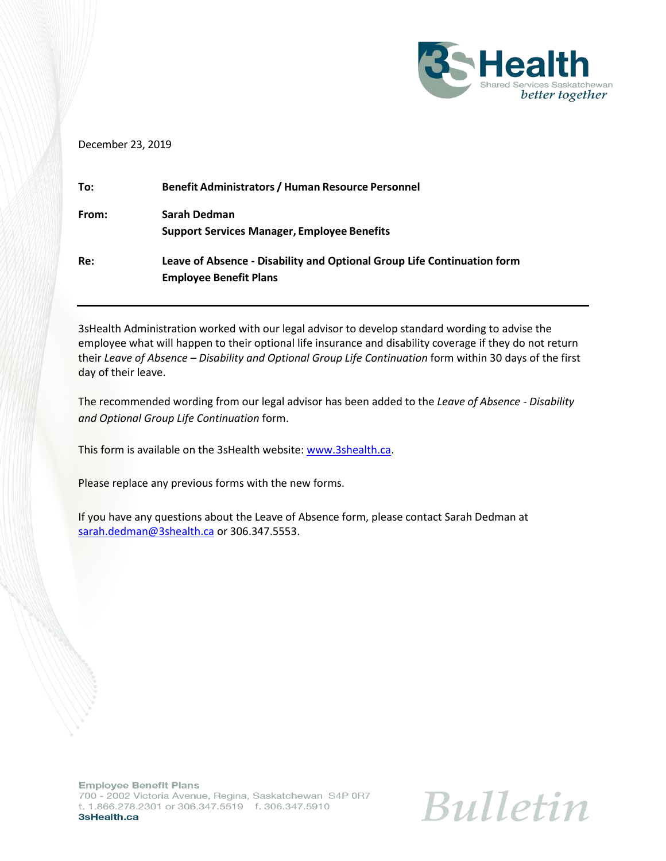

### December 23, 2019

| To:   | <b>Benefit Administrators / Human Resource Personnel</b>                |
|-------|-------------------------------------------------------------------------|
| From: | Sarah Dedman                                                            |
|       | <b>Support Services Manager, Employee Benefits</b>                      |
| Re:   | Leave of Absence - Disability and Optional Group Life Continuation form |
|       | <b>Employee Benefit Plans</b>                                           |

3sHealth Administration worked with our legal advisor to develop standard wording to advise the employee what will happen to their optional life insurance and disability coverage if they do not return their *Leave of Absence – Disability and Optional Group Life Continuation* form within 30 days of the first day of their leave.

The recommended wording from our legal advisor has been added to the *Leave of Absence - Disability and Optional Group Life Continuation* form.

This form is available on the 3sHealth website: [www.3shealth.ca.](http://www.3shealth.ca/)

Please replace any previous forms with the new forms.

If you have any questions about the Leave of Absence form, please contact Sarah Dedman at [sarah.dedman@3shealth.ca](mailto:sarah.dedman@3shealth.ca) or 306.347.5553.